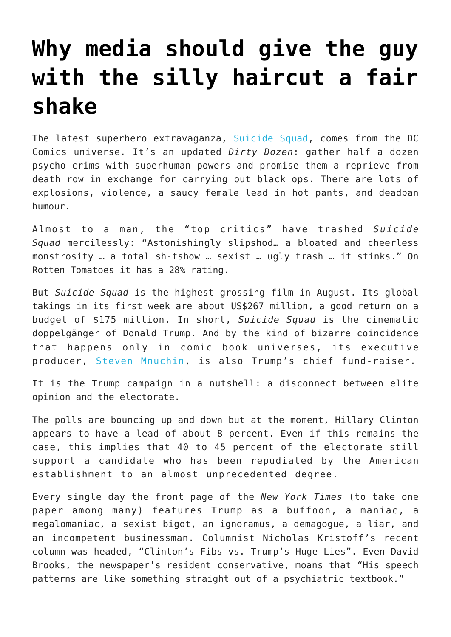## **[Why media should give the guy](https://intellectualtakeout.org/2016/08/why-media-should-give-the-guy-with-the-silly-haircut-a-fair-shake/) [with the silly haircut a fair](https://intellectualtakeout.org/2016/08/why-media-should-give-the-guy-with-the-silly-haircut-a-fair-shake/) [shake](https://intellectualtakeout.org/2016/08/why-media-should-give-the-guy-with-the-silly-haircut-a-fair-shake/)**

The latest superhero extravaganza, [Suicide Squad,](https://youtu.be/CmRih_VtVAs) comes from the DC Comics universe. It's an updated *Dirty Dozen*: gather half a dozen psycho crims with superhuman powers and promise them a reprieve from death row in exchange for carrying out black ops. There are lots of explosions, violence, a saucy female lead in hot pants, and deadpan humour.

Almost to a man, the "top critics" have trashed *Suicide Squad* mercilessly: "Astonishingly slipshod… a bloated and cheerless monstrosity … a total sh-tshow … sexist … ugly trash … it stinks." On Rotten Tomatoes it has a 28% rating.

But *Suicide Squad* is the highest grossing film in August. Its global takings in its first week are about US\$267 million, a good return on a budget of \$175 million. In short, *Suicide Squad* is the cinematic doppelgänger of Donald Trump. And by the kind of bizarre coincidence that happens only in comic book universes, its executive producer, [Steven Mnuchin,](http://www.thewrap.com/suicide-squad-executive-producer-is-donald-trumps-chief-fundraiser/) is also Trump's chief fund-raiser.

It is the Trump campaign in a nutshell: a disconnect between elite opinion and the electorate.

The polls are bouncing up and down but at the moment, Hillary Clinton appears to have a lead of about 8 percent. Even if this remains the case, this implies that 40 to 45 percent of the electorate still support a candidate who has been repudiated by the American establishment to an almost unprecedented degree.

Every single day the front page of the *New York Times* (to take one paper among many) features Trump as a buffoon, a maniac, a megalomaniac, a sexist bigot, an ignoramus, a demagogue, a liar, and an incompetent businessman. Columnist Nicholas Kristoff's recent column was headed, "Clinton's Fibs vs. Trump's Huge Lies". Even David Brooks, the newspaper's resident conservative, moans that "His speech patterns are like something straight out of a psychiatric textbook."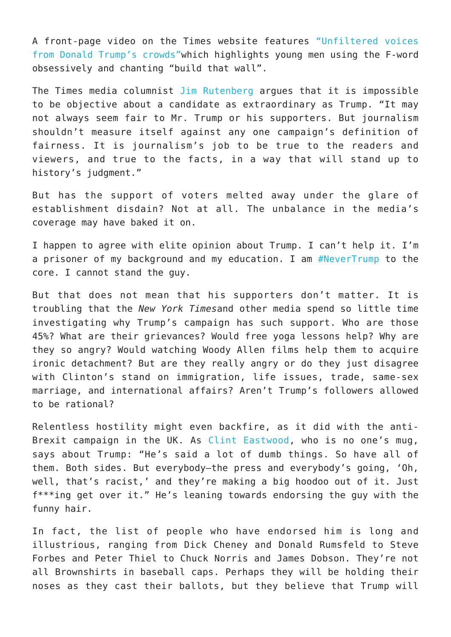A front-page video on the Times website features ["Unfiltered voices](https://youtu.be/R9YPYRaeTW0) [from Donald Trump's crowds"](https://youtu.be/R9YPYRaeTW0)which highlights young men using the F-word obsessively and chanting "build that wall".

The Times media columnist [Jim Rutenberg](http://www.nytimes.com/2016/08/08/business/balance-fairness-and-a-proudly-provocative-presidential-candidate.html?_r=0) argues that it is impossible to be objective about a candidate as extraordinary as Trump. "It may not always seem fair to Mr. Trump or his supporters. But journalism shouldn't measure itself against any one campaign's definition of fairness. It is journalism's job to be true to the readers and viewers, and true to the facts, in a way that will stand up to history's judgment."

But has the support of voters melted away under the glare of establishment disdain? Not at all. The unbalance in the media's coverage may have baked it on.

I happen to agree with elite opinion about Trump. I can't help it. I'm a prisoner of my background and my education. I am [#NeverTrump](https://twitter.com/hashtag/NeverTrump?src=hash) to the core. I cannot stand the guy.

But that does not mean that his supporters don't matter. It is troubling that the *New York Times*and other media spend so little time investigating why Trump's campaign has such support. Who are those 45%? What are their grievances? Would free yoga lessons help? Why are they so angry? Would watching Woody Allen films help them to acquire ironic detachment? But are they really angry or do they just disagree with Clinton's stand on immigration, life issues, trade, same-sex marriage, and international affairs? Aren't Trump's followers allowed to be rational?

Relentless hostility might even backfire, as it did with the anti-Brexit campaign in the UK. As [Clint Eastwood](http://www.esquire.com/entertainment/a46893/double-trouble-clint-and-scott-eastwood/), who is no one's mug, says about Trump: "He's said a lot of dumb things. So have all of them. Both sides. But everybody—the press and everybody's going, 'Oh, well, that's racist,' and they're making a big hoodoo out of it. Just f\*\*\*ing get over it." He's leaning towards endorsing the guy with the funny hair.

In fact, the list of people who have endorsed him is long and illustrious, ranging from Dick Cheney and Donald Rumsfeld to Steve Forbes and Peter Thiel to Chuck Norris and James Dobson. They're not all Brownshirts in baseball caps. Perhaps they will be holding their noses as they cast their ballots, but they believe that Trump will